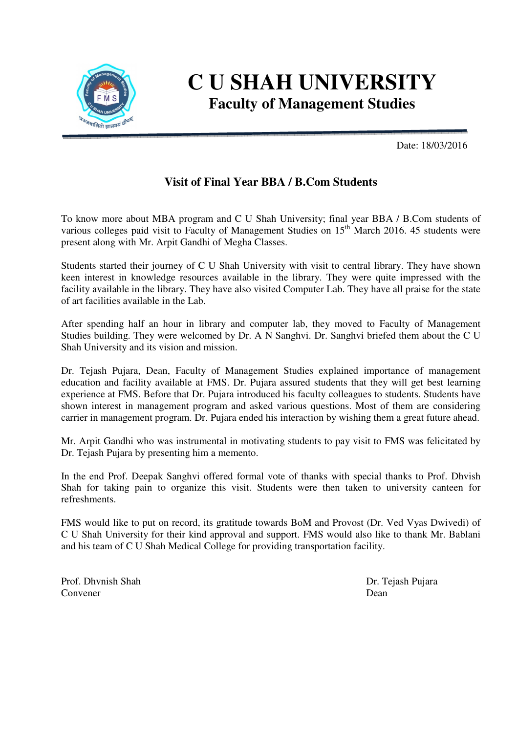

## **C U SHAH UNIVERSITY Faculty of Management Studies**

Date: 18/03/2016

## **Visit of Final Year BBA / B.Com Students**

To know more about MBA program and C U Shah University; final year BBA / B.Com students of various colleges paid visit to Faculty of Management Studies on  $15<sup>th</sup>$  March 2016. 45 students were present along with Mr. Arpit Gandhi of Megha Classes.

Students started their journey of C U Shah University with visit to central library. They have shown keen interest in knowledge resources available in the library. They were quite impressed with the facility available in the library. They have also visited Computer Lab. They have all praise for the state of art facilities available in the Lab.

After spending half an hour in library and computer lab, they moved to Faculty of Management Studies building. They were welcomed by Dr. A N Sanghvi. Dr. Sanghvi briefed them about the C U Shah University and its vision and mission.

Dr. Tejash Pujara, Dean, Faculty of Management Studies explained importance of management education and facility available at FMS. Dr. Pujara assured students that they will get best learning experience at FMS. Before that Dr. Pujara introduced his faculty colleagues to students. Students have shown interest in management program and asked various questions. Most of them are considering carrier in management program. Dr. Pujara ended his interaction by wishing them a great future ahead.

Mr. Arpit Gandhi who was instrumental in motivating students to pay visit to FMS was felicitated by Dr. Tejash Pujara by presenting him a memento.

In the end Prof. Deepak Sanghvi offered formal vote of thanks with special thanks to Prof. Dhvish Shah for taking pain to organize this visit. Students were then taken to university canteen for refreshments.

FMS would like to put on record, its gratitude towards BoM and Provost (Dr. Ved Vyas Dwivedi) of C U Shah University for their kind approval and support. FMS would also like to thank Mr. Bablani and his team of C U Shah Medical College for providing transportation facility.

Prof. Dhvnish Shah Dr. Tejash Pujara Convener Dean